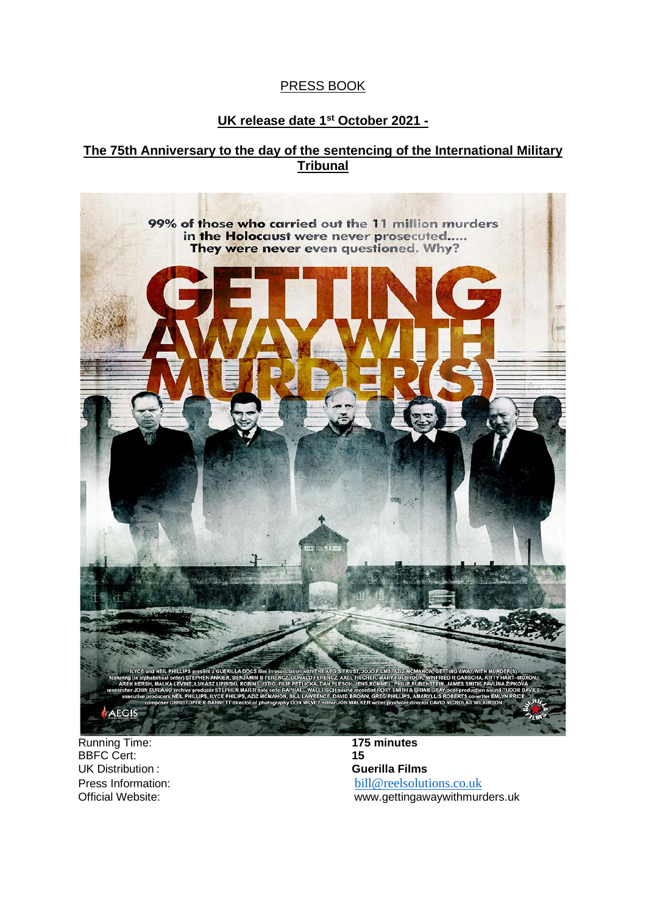## PRESS BOOK

# **UK release date 1st October 2021 -**

## **The 75th Anniversary to the day of the sentencing of the International Military Tribunal**



Running Time: **175 minutes** BBFC Cert: UK Distribution : **Guerilla Films**

Press Information:<br>
Official Website:<br>
Official Website:<br>
Official Website:<br>
Official Website: www.gettingawaywithmurders.uk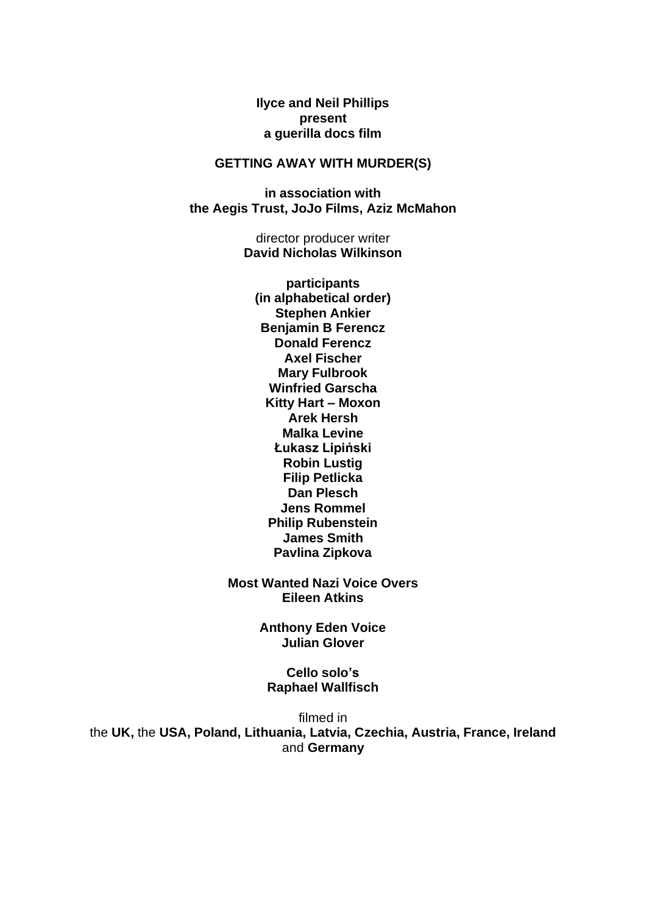**Ilyce and Neil Phillips present a guerilla docs film**

## **GETTING AWAY WITH MURDER(S)**

**in association with the Aegis Trust, JoJo Films, Aziz McMahon**

> director producer writer **David Nicholas Wilkinson**

**participants (in alphabetical order) Stephen Ankier Benjamin B Ferencz Donald Ferencz Axel Fischer Mary Fulbrook Winfried Garscha Kitty Hart – Moxon Arek Hersh Malka Levine Łukasz Lipiński Robin Lustig Filip Petlicka Dan Plesch Jens Rommel Philip Rubenstein James Smith Pavlina Zipkova**

**Most Wanted Nazi Voice Overs Eileen Atkins** 

> **Anthony Eden Voice Julian Glover**

**Cello solo's Raphael Wallfisch** 

filmed in the **UK,** the **USA, Poland, Lithuania, Latvia, Czechia, Austria, France, Ireland**  and **Germany**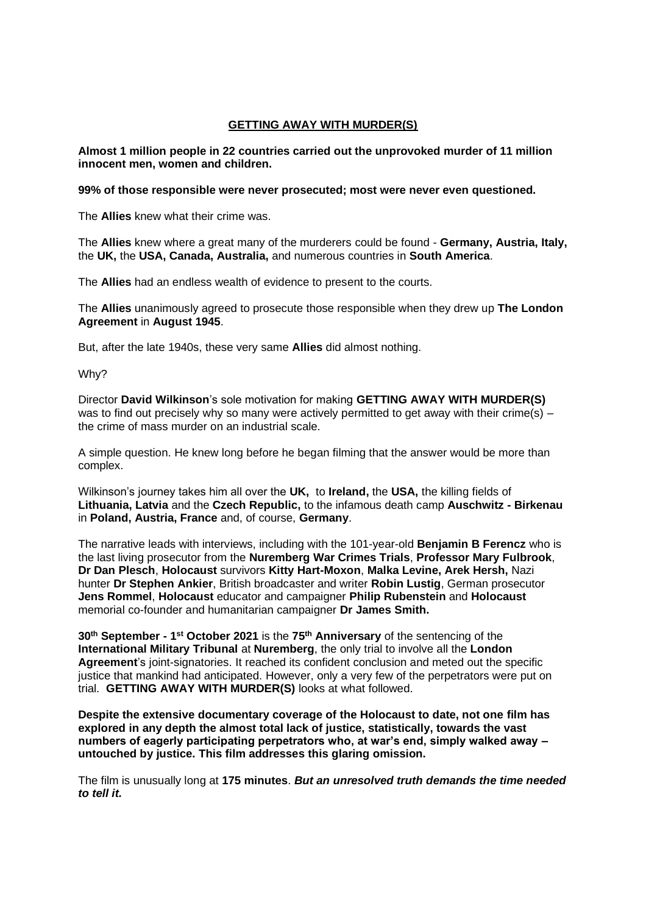#### **GETTING AWAY WITH MURDER(S)**

#### **Almost 1 million people in 22 countries carried out the unprovoked murder of 11 million innocent men, women and children.**

#### **99% of those responsible were never prosecuted; most were never even questioned.**

The **Allies** knew what their crime was.

The **Allies** knew where a great many of the murderers could be found - **Germany, Austria, Italy,**  the **UK,** the **USA, Canada, Australia,** and numerous countries in **South America**.

The **Allies** had an endless wealth of evidence to present to the courts.

The **Allies** unanimously agreed to prosecute those responsible when they drew up **The London Agreement** in **August 1945**.

But, after the late 1940s, these very same **Allies** did almost nothing.

Why?

Director **David Wilkinson**'s sole motivation for making **GETTING AWAY WITH MURDER(S)**  was to find out precisely why so many were actively permitted to get away with their crime(s) – the crime of mass murder on an industrial scale.

A simple question. He knew long before he began filming that the answer would be more than complex.

Wilkinson's journey takes him all over the **UK,** to **Ireland,** the **USA,** the killing fields of **Lithuania, Latvia** and the **Czech Republic,** to the infamous death camp **Auschwitz - Birkenau**  in **Poland, Austria, France** and, of course, **Germany**.

The narrative leads with interviews, including with the 101-year-old **Benjamin B Ferencz** who is the last living prosecutor from the **Nuremberg War Crimes Trials**, **Professor Mary Fulbrook**, **Dr Dan Plesch**, **Holocaust** survivors **Kitty Hart-Moxon**, **Malka Levine, Arek Hersh,** Nazi hunter **Dr Stephen Ankier**, British broadcaster and writer **Robin Lustig**, German prosecutor **Jens Rommel**, **Holocaust** educator and campaigner **Philip Rubenstein** and **Holocaust**  memorial co-founder and humanitarian campaigner **Dr James Smith.** 

**30th September - 1 st October 2021** is the **75th Anniversary** of the sentencing of the **International Military Tribunal** at **Nuremberg**, the only trial to involve all the **London Agreement**'s joint-signatories. It reached its confident conclusion and meted out the specific justice that mankind had anticipated. However, only a very few of the perpetrators were put on trial. **GETTING AWAY WITH MURDER(S)** looks at what followed.

**Despite the extensive documentary coverage of the Holocaust to date, not one film has explored in any depth the almost total lack of justice, statistically, towards the vast numbers of eagerly participating perpetrators who, at war's end, simply walked away – untouched by justice. This film addresses this glaring omission.**

The film is unusually long at **175 minutes**. *But an unresolved truth demands the time needed to tell it.*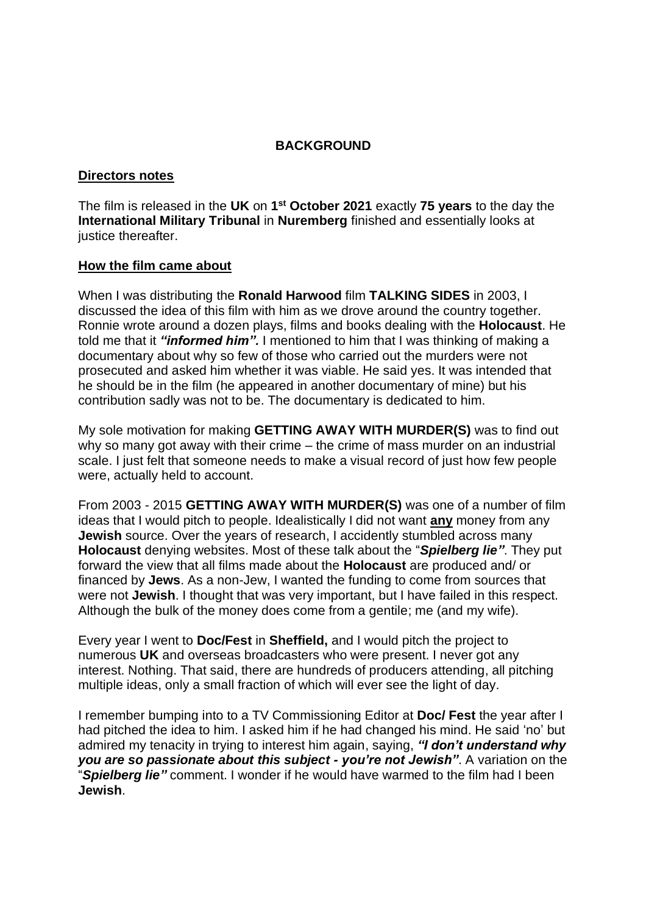## **BACKGROUND**

### **Directors notes**

The film is released in the **UK** on **1 st October 2021** exactly **75 years** to the day the **International Military Tribunal** in **Nuremberg** finished and essentially looks at justice thereafter.

### **How the film came about**

When I was distributing the **Ronald Harwood** film **TALKING SIDES** in 2003, I discussed the idea of this film with him as we drove around the country together. Ronnie wrote around a dozen plays, films and books dealing with the **Holocaust**. He told me that it *"informed him".* I mentioned to him that I was thinking of making a documentary about why so few of those who carried out the murders were not prosecuted and asked him whether it was viable. He said yes. It was intended that he should be in the film (he appeared in another documentary of mine) but his contribution sadly was not to be. The documentary is dedicated to him.

My sole motivation for making **GETTING AWAY WITH MURDER(S)** was to find out why so many got away with their crime – the crime of mass murder on an industrial scale. I just felt that someone needs to make a visual record of just how few people were, actually held to account.

From 2003 - 2015 **GETTING AWAY WITH MURDER(S)** was one of a number of film ideas that I would pitch to people. Idealistically I did not want **any** money from any **Jewish** source. Over the years of research, I accidently stumbled across many **Holocaust** denying websites. Most of these talk about the "*Spielberg lie"*. They put forward the view that all films made about the **Holocaust** are produced and/ or financed by **Jews**. As a non-Jew, I wanted the funding to come from sources that were not **Jewish**. I thought that was very important, but I have failed in this respect. Although the bulk of the money does come from a gentile; me (and my wife).

Every year I went to **Doc/Fest** in **Sheffield,** and I would pitch the project to numerous **UK** and overseas broadcasters who were present. I never got any interest. Nothing. That said, there are hundreds of producers attending, all pitching multiple ideas, only a small fraction of which will ever see the light of day.

I remember bumping into to a TV Commissioning Editor at **Doc/ Fest** the year after I had pitched the idea to him. I asked him if he had changed his mind. He said 'no' but admired my tenacity in trying to interest him again, saying, *"I don't understand why you are so passionate about this subject - you're not Jewish"*. A variation on the "*Spielberg lie"* comment. I wonder if he would have warmed to the film had I been **Jewish**.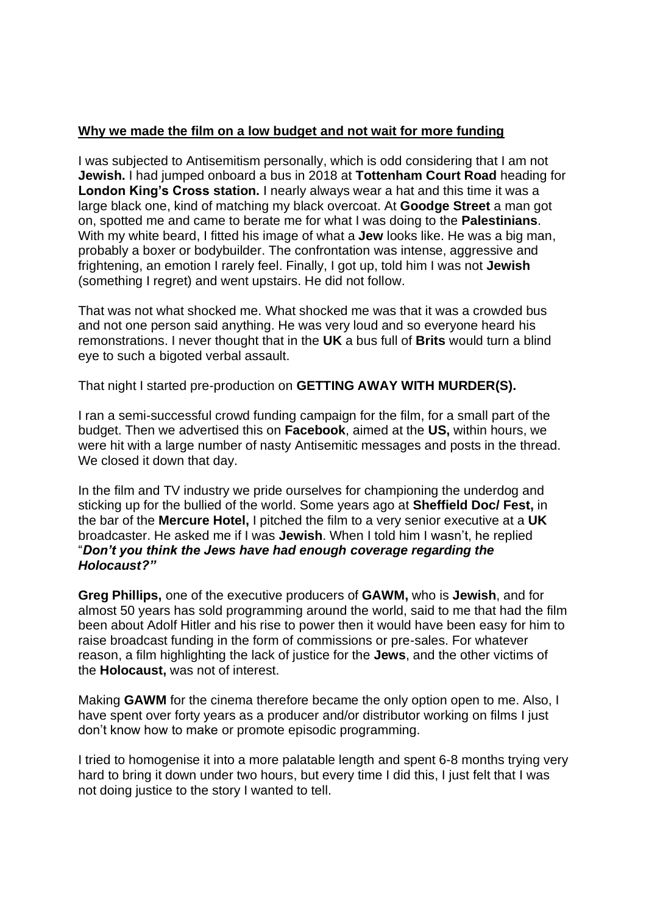## **Why we made the film on a low budget and not wait for more funding**

I was subjected to Antisemitism personally, which is odd considering that I am not **Jewish.** I had jumped onboard a bus in 2018 at **Tottenham Court Road** heading for **London King's Cross station.** I nearly always wear a hat and this time it was a large black one, kind of matching my black overcoat. At **Goodge Street** a man got on, spotted me and came to berate me for what I was doing to the **Palestinians**. With my white beard, I fitted his image of what a **Jew** looks like. He was a big man, probably a boxer or bodybuilder. The confrontation was intense, aggressive and frightening, an emotion I rarely feel. Finally, I got up, told him I was not **Jewish**  (something I regret) and went upstairs. He did not follow.

That was not what shocked me. What shocked me was that it was a crowded bus and not one person said anything. He was very loud and so everyone heard his remonstrations. I never thought that in the **UK** a bus full of **Brits** would turn a blind eye to such a bigoted verbal assault.

That night I started pre-production on **GETTING AWAY WITH MURDER(S).**

I ran a semi-successful crowd funding campaign for the film, for a small part of the budget. Then we advertised this on **Facebook**, aimed at the **US,** within hours, we were hit with a large number of nasty Antisemitic messages and posts in the thread. We closed it down that day.

In the film and TV industry we pride ourselves for championing the underdog and sticking up for the bullied of the world. Some years ago at **Sheffield Doc/ Fest,** in the bar of the **Mercure Hotel,** I pitched the film to a very senior executive at a **UK** broadcaster. He asked me if I was **Jewish**. When I told him I wasn't, he replied "*Don't you think the Jews have had enough coverage regarding the Holocaust?"*

**Greg Phillips,** one of the executive producers of **GAWM,** who is **Jewish**, and for almost 50 years has sold programming around the world, said to me that had the film been about Adolf Hitler and his rise to power then it would have been easy for him to raise broadcast funding in the form of commissions or pre-sales. For whatever reason, a film highlighting the lack of justice for the **Jews**, and the other victims of the **Holocaust,** was not of interest.

Making **GAWM** for the cinema therefore became the only option open to me. Also, I have spent over forty years as a producer and/or distributor working on films I just don't know how to make or promote episodic programming.

I tried to homogenise it into a more palatable length and spent 6-8 months trying very hard to bring it down under two hours, but every time I did this, I just felt that I was not doing justice to the story I wanted to tell.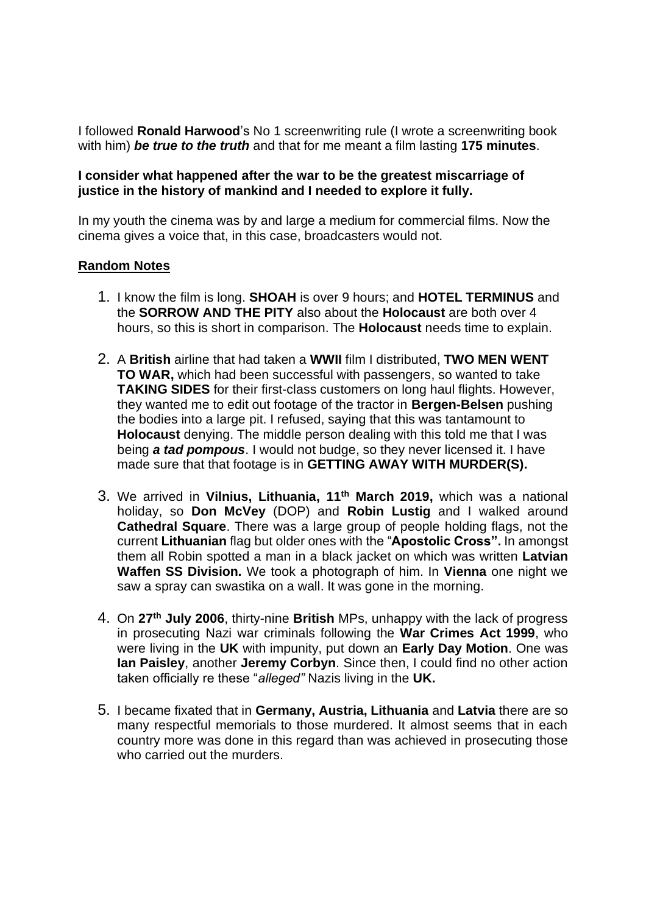I followed **Ronald Harwood**'s No 1 screenwriting rule (I wrote a screenwriting book with him) *be true to the truth* and that for me meant a film lasting **175 minutes**.

## **I consider what happened after the war to be the greatest miscarriage of justice in the history of mankind and I needed to explore it fully.**

In my youth the cinema was by and large a medium for commercial films. Now the cinema gives a voice that, in this case, broadcasters would not.

## **Random Notes**

- 1. I know the film is long. **SHOAH** is over 9 hours; and **HOTEL TERMINUS** and the **SORROW AND THE PITY** also about the **Holocaust** are both over 4 hours, so this is short in comparison. The **Holocaust** needs time to explain.
- 2. A **British** airline that had taken a **WWII** film I distributed, **TWO MEN WENT TO WAR,** which had been successful with passengers, so wanted to take **TAKING SIDES** for their first-class customers on long haul flights. However, they wanted me to edit out footage of the tractor in **Bergen-Belsen** pushing the bodies into a large pit. I refused, saying that this was tantamount to **Holocaust** denying. The middle person dealing with this told me that I was being *a tad pompous*. I would not budge, so they never licensed it. I have made sure that that footage is in **GETTING AWAY WITH MURDER(S).**
- 3. We arrived in **Vilnius, Lithuania, 11th March 2019,** which was a national holiday, so **Don McVey** (DOP) and **Robin Lustig** and I walked around **Cathedral Square**. There was a large group of people holding flags, not the current **Lithuanian** flag but older ones with the "**Apostolic Cross".** In amongst them all Robin spotted a man in a black jacket on which was written **Latvian Waffen SS Division.** We took a photograph of him. In **Vienna** one night we saw a spray can swastika on a wall. It was gone in the morning.
- 4. On **27th July 2006**, thirty-nine **British** MPs, unhappy with the lack of progress in prosecuting Nazi war criminals following the **War Crimes Act 1999**, who were living in the **UK** with impunity, put down an **Early Day Motion**. One was **Ian Paisley**, another **Jeremy Corbyn**. Since then, I could find no other action taken officially re these "*alleged"* Nazis living in the **UK.**
- 5. I became fixated that in **Germany, Austria, Lithuania** and **Latvia** there are so many respectful memorials to those murdered. It almost seems that in each country more was done in this regard than was achieved in prosecuting those who carried out the murders.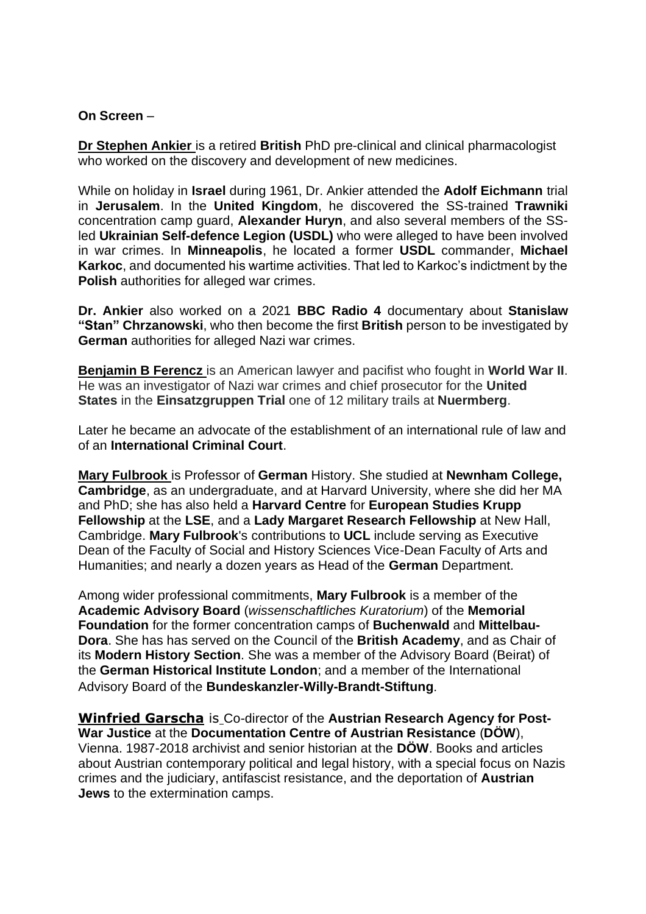### **On Screen** –

**Dr Stephen Ankier** is a retired **British** PhD pre-clinical and clinical pharmacologist who worked on the discovery and development of new medicines.

While on holiday in **Israel** during 1961, Dr. Ankier attended the **Adolf Eichmann** trial in **Jerusalem**. In the **United Kingdom**, he discovered the SS-trained **Trawniki**  concentration camp guard, **Alexander Huryn**, and also several members of the SSled **Ukrainian Self-defence Legion (USDL)** who were alleged to have been involved in war crimes. In **Minneapolis**, he located a former **USDL** commander, **Michael Karkoc**, and documented his wartime activities. That led to Karkoc's indictment by the **Polish** authorities for alleged war crimes.

**Dr. Ankier** also worked on a 2021 **BBC Radio 4** documentary about **Stanislaw "Stan" Chrzanowski**, who then become the first **British** person to be investigated by **German** authorities for alleged Nazi war crimes.

**Benjamin B Ferencz** is an American lawyer and pacifist who fought in **World War II**. He was an investigator of Nazi war crimes and chief prosecutor for the **United States** in the **Einsatzgruppen Trial** one of 12 military trails at **Nuermberg**.

Later he became an advocate of the establishment of an international rule of law and of an **International Criminal Court**.

**Mary Fulbrook** is Professor of **German** History. She studied at **Newnham College, Cambridge**, as an undergraduate, and at Harvard University, where she did her MA and PhD; she has also held a **Harvard Centre** for **European Studies Krupp Fellowship** at the **LSE**, and a **Lady Margaret Research Fellowship** at New Hall, Cambridge. **Mary Fulbrook**'s contributions to **UCL** include serving as Executive Dean of the Faculty of Social and History Sciences Vice-Dean Faculty of Arts and Humanities; and nearly a dozen years as Head of the **German** Department.

Among wider professional commitments, **Mary Fulbrook** is a member of the **Academic Advisory Board** (*wissenschaftliches Kuratorium*) of the **Memorial Foundation** for the former concentration camps of **Buchenwald** and **Mittelbau-Dora**. She has has served on the Council of the **British Academy**, and as Chair of its **Modern History Section**. She was a member of the Advisory Board (Beirat) of the **German Historical Institute London**; and a member of the International Advisory Board of the **Bundeskanzler-Willy-Brandt-Stiftung**.

**Winfried Garscha** is Co-director of the **Austrian Research Agency for Post-War Justice** at the **Documentation Centre of Austrian Resistance** (**DÖW**), Vienna. 1987-2018 archivist and senior historian at the **DÖW**. Books and articles about Austrian contemporary political and legal history, with a special focus on Nazis crimes and the judiciary, antifascist resistance, and the deportation of **Austrian Jews** to the extermination camps.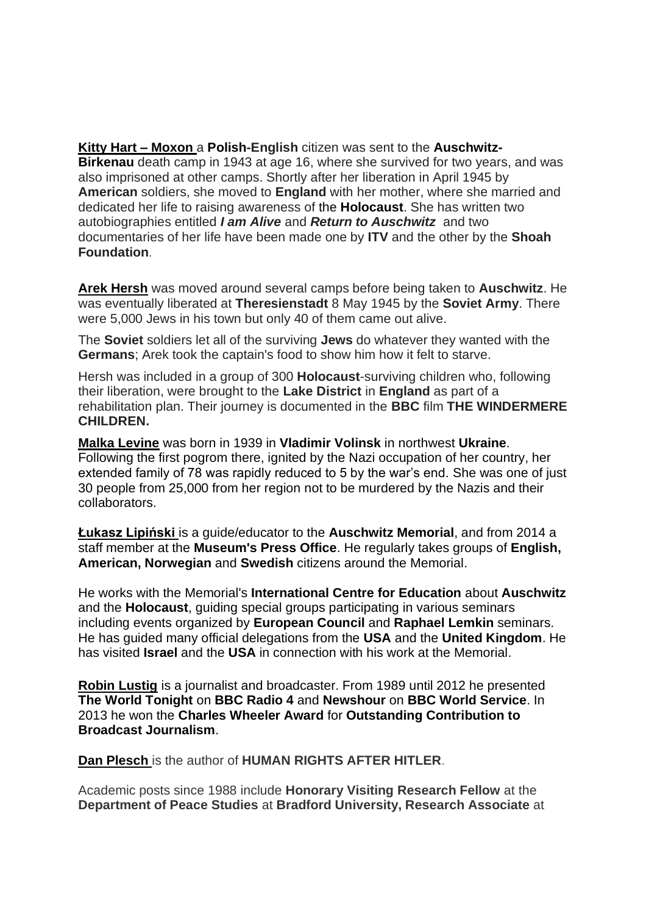**Kitty Hart – Moxon** a **Polish-English** citizen was sent to the **Auschwitz-Birkenau** death camp in 1943 at age 16, where she survived for two years, and was also imprisoned at other camps. Shortly after her liberation in April 1945 by **American** soldiers, she moved to **England** with her mother, where she married and dedicated her life to raising awareness of the **Holocaust**. She has written two autobiographies entitled *I am Alive* and *Return to Auschwitz* and two documentaries of her life have been made one by **ITV** and the other by the **Shoah Foundation**.

**Arek Hersh** was moved around several camps before being taken to **Auschwitz**. He was eventually liberated at **Theresienstadt** 8 May 1945 by the **Soviet Army**. There were 5,000 Jews in his town but only 40 of them came out alive.

The **Soviet** soldiers let all of the surviving **Jews** do whatever they wanted with the **Germans**; Arek took the captain's food to show him how it felt to starve.

Hersh was included in a group of 300 **Holocaust**-surviving children who, following their liberation, were brought to the **Lake District** in **England** as part of a rehabilitation plan. Their journey is documented in the **BBC** film **THE WINDERMERE CHILDREN.**

**Malka Levine** was born in 1939 in **Vladimir Volinsk** in northwest **Ukraine**. Following the first pogrom there, ignited by the Nazi occupation of her country, her extended family of 78 was rapidly reduced to 5 by the war's end. She was one of just 30 people from 25,000 from her region not to be murdered by the Nazis and their collaborators.

**Łukasz Lipiński** is a guide/educator to the **Auschwitz Memorial**, and from 2014 a staff member at the **Museum's Press Office**. He regularly takes groups of **English, American, Norwegian** and **Swedish** citizens around the Memorial.

He works with the Memorial's **International Centre for Education** about **Auschwitz**  and the **Holocaust**, guiding special groups participating in various seminars including events organized by **European Council** and **Raphael Lemkin** seminars. He has guided many official delegations from the **USA** and the **United Kingdom**. He has visited **Israel** and the **USA** in connection with his work at the Memorial.

**Robin Lustig** is a journalist and broadcaster. From 1989 until 2012 he presented **The World Tonight** on **BBC Radio 4** and **Newshour** on **BBC World Service**. In 2013 he won the **Charles Wheeler Award** for **Outstanding Contribution to Broadcast Journalism**.

**Dan Plesch** is the author of **HUMAN RIGHTS AFTER HITLER**[.](http://press.georgetown.edu/book/georgetown/human-rights-after-hitler)

Academic posts since 1988 include **Honorary Visiting Research Fellow** at the **Department of Peace Studies** at **Bradford University, Research Associate** at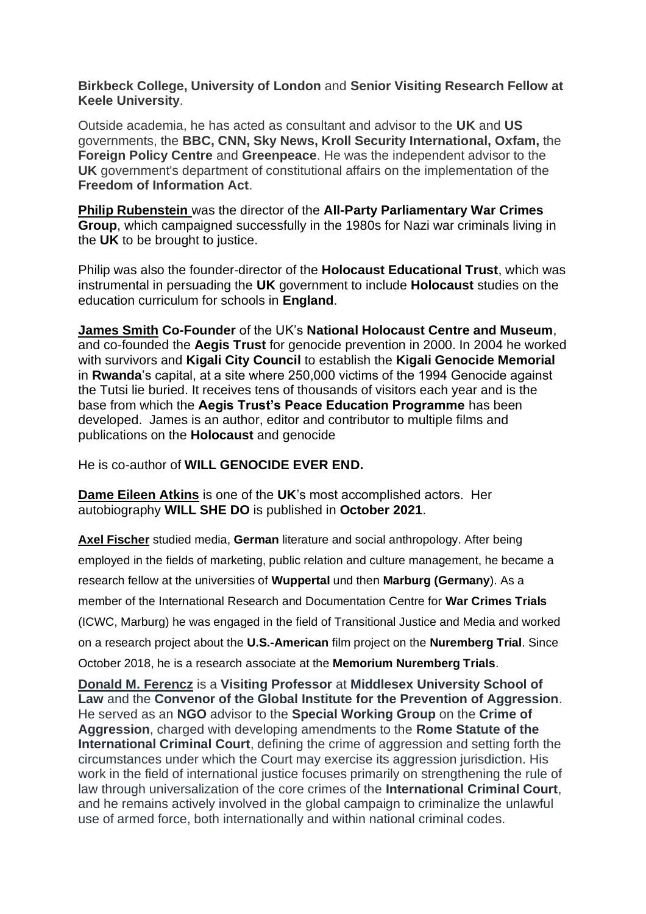**Birkbeck College, University of London** and **Senior Visiting Research Fellow at Keele University**.

Outside academia, he has acted as consultant and advisor to the **UK** and **US** governments, the **BBC, CNN, Sky News, Kroll Security International, Oxfam,** the **Foreign Policy Centre** and **Greenpeace**. He was the independent advisor to the **UK** government's department of constitutional affairs on the implementation of the **Freedom of Information Act**.

**Philip Rubenstein** was the director of the **All-Party Parliamentary War Crimes Group**, which campaigned successfully in the 1980s for Nazi war criminals living in the **UK** to be brought to justice.

Philip was also the founder-director of the **Holocaust Educational Trust**, which was instrumental in persuading the **UK** government to include **Holocaust** studies on the education curriculum for schools in **England**.

**James Smith Co-Founder** of the UK's **National Holocaust Centre and Museum**, and co-founded the **Aegis Trust** for genocide prevention in 2000. In 2004 he worked with survivors and **Kigali City Council** to establish the **Kigali Genocide Memorial** in **Rwanda**'s capital, at a site where 250,000 victims of the 1994 Genocide against the Tutsi lie buried. It receives tens of thousands of visitors each year and is the base from which the **Aegis Trust's Peace Education Programme** has been developed. James is an author, editor and contributor to multiple films and publications on the **Holocaust** and genocide

He is co-author of **WILL GENOCIDE EVER END.** 

**Dame Eileen Atkins** is one of the **UK**'s most accomplished actors. Her autobiography **WILL SHE DO** is published in **October 2021**.

**Axel Fischer** studied media, **German** literature and social anthropology. After being employed in the fields of marketing, public relation and culture management, he became a research fellow at the universities of **Wuppertal** und then **Marburg (Germany**). As a member of the International Research and Documentation Centre for **War Crimes Trials** (ICWC, Marburg) he was engaged in the field of Transitional Justice and Media and worked on a research project about the **U.S.-American** film project on the **Nuremberg Trial**. Since October 2018, he is a research associate at the **Memorium Nuremberg Trials**.

**Donald M. Ferencz** is a **Visiting Professor** at **Middlesex University School of Law** and the **Convenor of the Global Institute for the Prevention of Aggression**. He served as an **NGO** advisor to the **Special Working Group** on the **Crime of Aggression**, charged with developing amendments to the **Rome Statute of the International Criminal Court**, defining the crime of aggression and setting forth the circumstances under which the Court may exercise its aggression jurisdiction. His work in the field of international justice focuses primarily on strengthening the rule of law through universalization of the core crimes of the **International Criminal Court**, and he remains actively involved in the global campaign to criminalize the unlawful use of armed force, both internationally and within national criminal codes.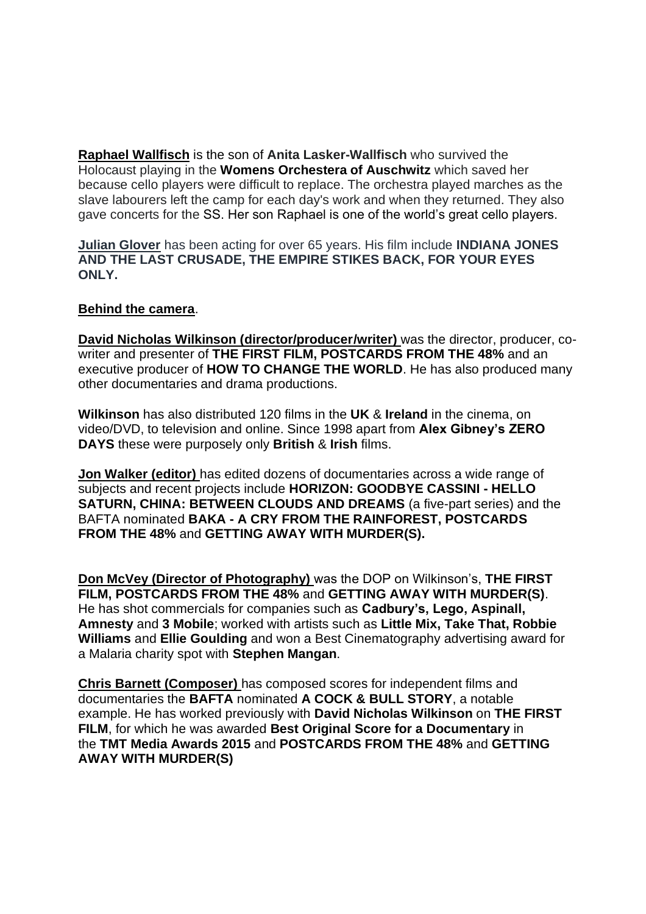**Raphael Wallfisch** is the son of **Anita Lasker-Wallfisch** who survived the Holocaust playing in the **Womens Orchestera of Auschwitz** which saved her because cello players were difficult to replace. The orchestra played marches as the slave labourers left the camp for each day's work and when they returned. They also gave concerts for the SS. Her son Raphael is one of the world's great cello players.

**Julian Glover** has been acting for over 65 years. His film include **INDIANA JONES AND THE LAST CRUSADE, THE EMPIRE STIKES BACK, FOR YOUR EYES ONLY.**

## **Behind the camera**.

**David Nicholas Wilkinson (director/producer/writer)** was the director, producer, cowriter and presenter of **THE FIRST FILM, POSTCARDS FROM THE 48%** and an executive producer of **HOW TO CHANGE THE WORLD**. He has also produced many other documentaries and drama productions.

**Wilkinson** has also distributed 120 films in the **UK** & **Ireland** in the cinema, on video/DVD, to television and online. Since 1998 apart from **Alex Gibney's ZERO DAYS** these were purposely only **British** & **Irish** films.

**Jon Walker (editor)** has edited dozens of documentaries across a wide range of subjects and recent projects include **HORIZON: GOODBYE CASSINI - HELLO SATURN, CHINA: BETWEEN CLOUDS AND DREAMS** (a five-part series) and the BAFTA nominated **BAKA - A CRY FROM THE RAINFOREST, POSTCARDS FROM THE 48%** and **GETTING AWAY WITH MURDER(S).** 

**Don McVey (Director of Photography)** was the DOP on Wilkinson's, **THE FIRST FILM, POSTCARDS FROM THE 48%** and **GETTING AWAY WITH MURDER(S)**. He has shot commercials for companies such as **Cadbury's, Lego, Aspinall, Amnesty** and **3 Mobile**; worked with artists such as **Little Mix, Take That, Robbie Williams** and **Ellie Goulding** and won a Best Cinematography advertising award for a Malaria charity spot with **Stephen Mangan**.

**Chris Barnett (Composer)** has composed scores for independent films and documentaries the **BAFTA** nominated **A COCK & BULL STORY**, a notable example. He has worked previously with **David Nicholas Wilkinson** on **THE FIRST FILM**, for which he was awarded **Best Original Score for a Documentary** in the **TMT Media Awards 2015** and **POSTCARDS FROM THE 48%** and **GETTING AWAY WITH MURDER(S)**